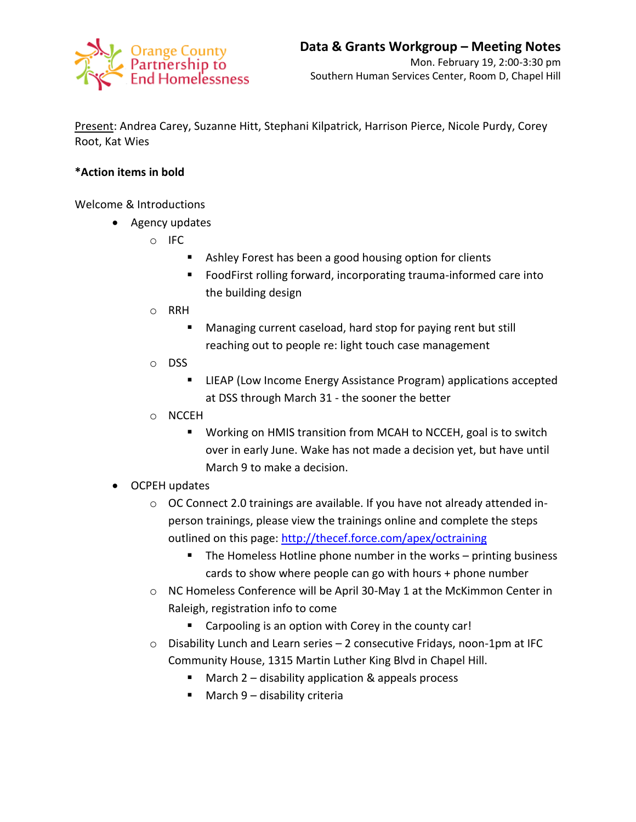

Present: Andrea Carey, Suzanne Hitt, Stephani Kilpatrick, Harrison Pierce, Nicole Purdy, Corey Root, Kat Wies

## **\*Action items in bold**

Welcome & Introductions

- Agency updates
	- o IFC
		- Ashley Forest has been a good housing option for clients
		- **FIM** FoodFirst rolling forward, incorporating trauma-informed care into the building design
	- o RRH
		- Managing current caseload, hard stop for paying rent but still reaching out to people re: light touch case management
	- o DSS
		- **E** LIEAP (Low Income Energy Assistance Program) applications accepted at DSS through March 31 - the sooner the better
	- o NCCEH
		- Working on HMIS transition from MCAH to NCCEH, goal is to switch over in early June. Wake has not made a decision yet, but have until March 9 to make a decision.
- OCPEH updates
	- $\circ$  OC Connect 2.0 trainings are available. If you have not already attended inperson trainings, please view the trainings online and complete the steps outlined on this page:<http://thecef.force.com/apex/octraining>
		- The Homeless Hotline phone number in the works printing business cards to show where people can go with hours + phone number
	- o NC Homeless Conference will be April 30-May 1 at the McKimmon Center in Raleigh, registration info to come
		- Carpooling is an option with Corey in the county car!
	- o Disability Lunch and Learn series 2 consecutive Fridays, noon-1pm at IFC Community House, 1315 Martin Luther King Blvd in Chapel Hill.
		- $\blacksquare$  March 2 disability application & appeals process
		- March 9 disability criteria